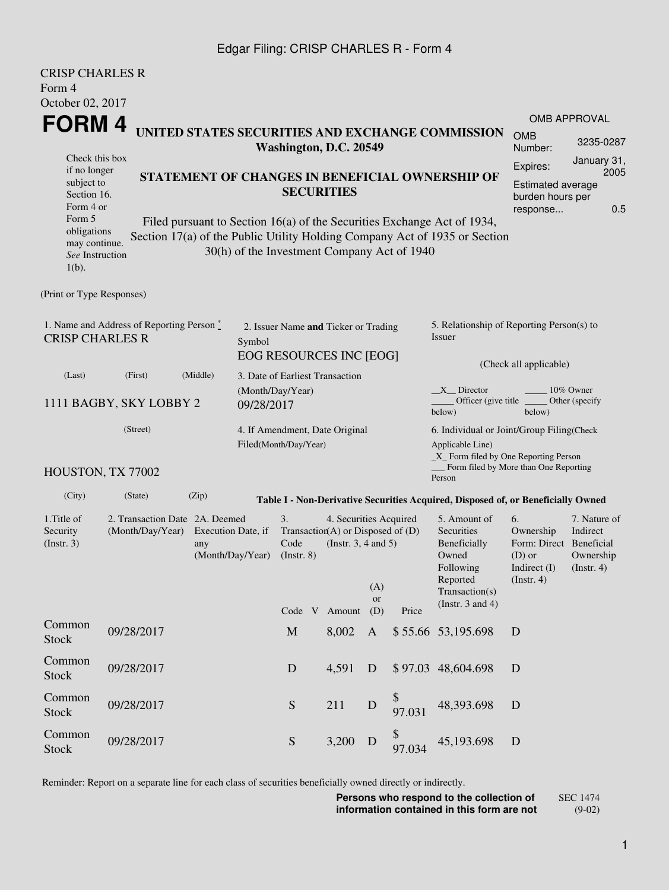## Edgar Filing: CRISP CHARLES R - Form 4

CRISP CHARLES R

| UNISE UNANLES N<br>Form 4                                   |                                                                                                                                                                                                                             |                                               |                                |                               |  |                                                                                           |              |                                             |                                                                                                                                                              |                                                                                         |                                                      |
|-------------------------------------------------------------|-----------------------------------------------------------------------------------------------------------------------------------------------------------------------------------------------------------------------------|-----------------------------------------------|--------------------------------|-------------------------------|--|-------------------------------------------------------------------------------------------|--------------|---------------------------------------------|--------------------------------------------------------------------------------------------------------------------------------------------------------------|-----------------------------------------------------------------------------------------|------------------------------------------------------|
| October 02, 2017                                            |                                                                                                                                                                                                                             |                                               |                                |                               |  |                                                                                           |              |                                             |                                                                                                                                                              |                                                                                         |                                                      |
| FORM 4                                                      |                                                                                                                                                                                                                             |                                               |                                |                               |  |                                                                                           |              |                                             | UNITED STATES SECURITIES AND EXCHANGE COMMISSION                                                                                                             | <b>OMB</b>                                                                              | OMB APPROVAL                                         |
|                                                             |                                                                                                                                                                                                                             |                                               |                                |                               |  | Washington, D.C. 20549                                                                    |              |                                             |                                                                                                                                                              | Number:                                                                                 | 3235-0287                                            |
| Form 5                                                      | Check this box<br>if no longer<br>STATEMENT OF CHANGES IN BENEFICIAL OWNERSHIP OF<br>subject to<br><b>SECURITIES</b><br>Section 16.<br>Form 4 or<br>Filed pursuant to Section 16(a) of the Securities Exchange Act of 1934, |                                               |                                |                               |  |                                                                                           |              |                                             | January 31,<br>Expires:<br>2005<br><b>Estimated average</b><br>burden hours per<br>0.5<br>response                                                           |                                                                                         |                                                      |
| obligations<br>may continue.<br>See Instruction<br>$1(b)$ . |                                                                                                                                                                                                                             |                                               |                                |                               |  |                                                                                           |              | 30(h) of the Investment Company Act of 1940 | Section 17(a) of the Public Utility Holding Company Act of 1935 or Section                                                                                   |                                                                                         |                                                      |
| (Print or Type Responses)                                   |                                                                                                                                                                                                                             |                                               |                                |                               |  |                                                                                           |              |                                             |                                                                                                                                                              |                                                                                         |                                                      |
| <b>CRISP CHARLES R</b>                                      | 1. Name and Address of Reporting Person $\stackrel{*}{\mathbb{L}}$                                                                                                                                                          |                                               | Symbol                         |                               |  | 2. Issuer Name and Ticker or Trading<br><b>EOG RESOURCES INC [EOG]</b>                    |              |                                             | 5. Relationship of Reporting Person(s) to<br>Issuer                                                                                                          |                                                                                         |                                                      |
| (Last)                                                      | (First)                                                                                                                                                                                                                     | (Middle)                                      |                                |                               |  | 3. Date of Earliest Transaction                                                           |              |                                             |                                                                                                                                                              | (Check all applicable)                                                                  |                                                      |
|                                                             | 1111 BAGBY, SKY LOBBY 2                                                                                                                                                                                                     |                                               | (Month/Day/Year)<br>09/28/2017 |                               |  |                                                                                           |              |                                             | $X$ <sub>Director</sub><br>Officer (give title _<br>below)                                                                                                   | below)                                                                                  | 10% Owner<br>Other (specify                          |
| HOUSTON, TX 77002                                           | (Street)                                                                                                                                                                                                                    |                                               | Filed(Month/Day/Year)          |                               |  | 4. If Amendment, Date Original                                                            |              |                                             | 6. Individual or Joint/Group Filing(Check<br>Applicable Line)<br>$\_X$ Form filed by One Reporting Person<br>Form filed by More than One Reporting<br>Person |                                                                                         |                                                      |
| (City)                                                      | (State)                                                                                                                                                                                                                     | (Zip)                                         |                                |                               |  |                                                                                           |              |                                             | Table I - Non-Derivative Securities Acquired, Disposed of, or Beneficially Owned                                                                             |                                                                                         |                                                      |
| 1. Title of<br>Security<br>(Insert. 3)                      | 2. Transaction Date 2A. Deemed<br>(Month/Day/Year)                                                                                                                                                                          | Execution Date, if<br>any<br>(Month/Day/Year) |                                | 3.<br>Code<br>$($ Instr. $8)$ |  | 4. Securities Acquired<br>Transaction(A) or Disposed of $(D)$<br>(Instr. $3, 4$ and $5$ ) | (A)<br>or    |                                             | 5. Amount of<br>Securities<br>Beneficially<br>Owned<br>Following<br>Reported<br>Transaction(s)                                                               | 6.<br>Ownership<br>Form: Direct Beneficial<br>$(D)$ or<br>Indirect $(I)$<br>(Insert. 4) | 7. Nature of<br>Indirect<br>Ownership<br>(Insert. 4) |
|                                                             |                                                                                                                                                                                                                             |                                               |                                |                               |  | Code V Amount                                                                             | (D)          | Price                                       | (Instr. $3$ and $4$ )                                                                                                                                        |                                                                                         |                                                      |
| Common<br>Stock                                             | 09/28/2017                                                                                                                                                                                                                  |                                               |                                | $\mathbf M$                   |  | 8,002                                                                                     | $\mathbf{A}$ |                                             | \$55.66 53,195.698                                                                                                                                           | D                                                                                       |                                                      |
| Common<br><b>Stock</b>                                      | 09/28/2017                                                                                                                                                                                                                  |                                               |                                | D                             |  | 4,591                                                                                     | D            | \$97.03                                     | 48,604.698                                                                                                                                                   | D                                                                                       |                                                      |
| Common<br>Stock                                             | 09/28/2017                                                                                                                                                                                                                  |                                               |                                | ${\mathbf S}$                 |  | 211                                                                                       | ${\bf D}$    | \$<br>97.031                                | 48,393.698                                                                                                                                                   | D                                                                                       |                                                      |
| Common<br><b>Stock</b>                                      | 09/28/2017                                                                                                                                                                                                                  |                                               |                                | ${\mathbf S}$                 |  | 3,200                                                                                     | D            | \$<br>97.034                                | 45,193.698                                                                                                                                                   | D                                                                                       |                                                      |

Reminder: Report on a separate line for each class of securities beneficially owned directly or indirectly.

**Persons who respond to the collection of information contained in this form are not** SEC 1474

(9-02)